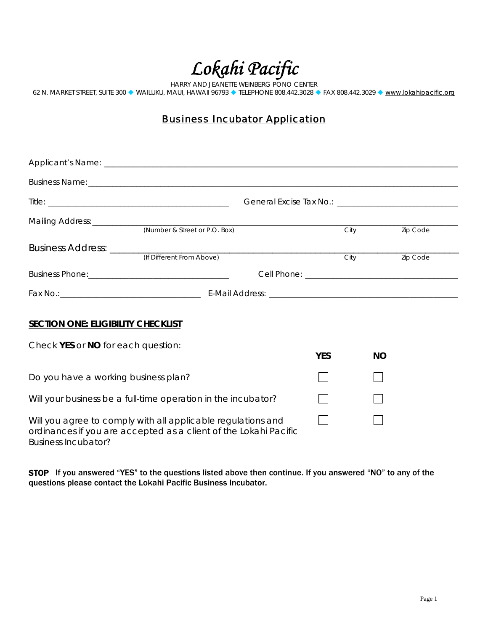*Lokahi Pacific* 

HARRY AND JEANETTE WEINBERG PONO CENTER 62 N. MARKET STREET, SUITE 300 ♦ WAILUKU, MAUI, HAWAII 96793 ♦ TELEPHONE 808.442.3028 ♦ FAX 808.442.3029 ♦ <u>[www.lokahipacific.org](http://www.lokahipacific.org/)</u>

## **Business Incubator Application**

|                                           | (Number & Street or P.O. Box)                                                                                                    |            | City      | Zip Code |
|-------------------------------------------|----------------------------------------------------------------------------------------------------------------------------------|------------|-----------|----------|
|                                           |                                                                                                                                  |            | City      | Zip Code |
|                                           |                                                                                                                                  |            |           |          |
|                                           |                                                                                                                                  |            |           |          |
| <b>SECTION ONE: ELIGIBILITY CHECKLIST</b> |                                                                                                                                  |            |           |          |
| Check YES or NO for each question:        |                                                                                                                                  | <b>YES</b> | <b>NO</b> |          |
| Do you have a working business plan?      |                                                                                                                                  |            |           |          |
|                                           | Will your business be a full-time operation in the incubator?                                                                    |            |           |          |
| <b>Business Incubator?</b>                | Will you agree to comply with all applicable regulations and<br>ordinances if you are accepted as a client of the Lokahi Pacific |            |           |          |

STOP If you answered "YES" to the questions listed above then continue. If you answered "NO" to any of the questions please contact the Lokahi Pacific Business Incubator.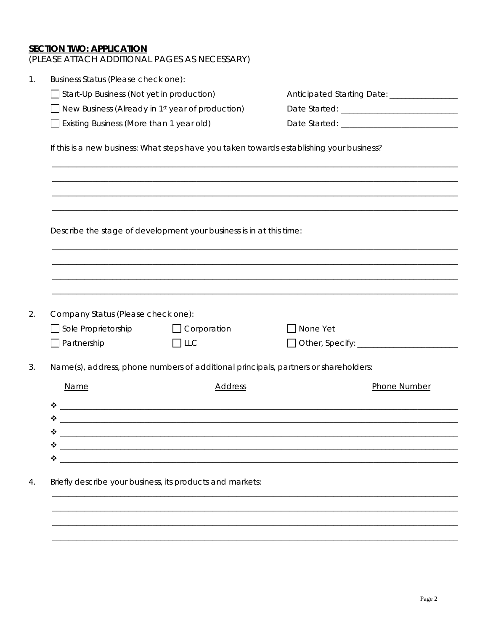**SECTION TWO: APPLICATION**<br>(PLEASE ATTACH ADDITIONAL PAGES AS NECESSARY)

| Start-Up Business (Not yet in production)<br>New Business (Already in 1st year of production)<br>$\Box$ Existing Business (More than 1 year old)<br>Describe the stage of development your business is in at this time: |                                                                                                                      | Anticipated Starting Date: ________________<br>If this is a new business: What steps have you taken towards establishing your business? |  |  |
|-------------------------------------------------------------------------------------------------------------------------------------------------------------------------------------------------------------------------|----------------------------------------------------------------------------------------------------------------------|-----------------------------------------------------------------------------------------------------------------------------------------|--|--|
|                                                                                                                                                                                                                         |                                                                                                                      |                                                                                                                                         |  |  |
|                                                                                                                                                                                                                         |                                                                                                                      |                                                                                                                                         |  |  |
|                                                                                                                                                                                                                         |                                                                                                                      |                                                                                                                                         |  |  |
|                                                                                                                                                                                                                         |                                                                                                                      |                                                                                                                                         |  |  |
|                                                                                                                                                                                                                         |                                                                                                                      |                                                                                                                                         |  |  |
|                                                                                                                                                                                                                         |                                                                                                                      |                                                                                                                                         |  |  |
|                                                                                                                                                                                                                         |                                                                                                                      |                                                                                                                                         |  |  |
|                                                                                                                                                                                                                         |                                                                                                                      |                                                                                                                                         |  |  |
| Company Status (Please check one):<br>$\Box$ Sole Proprietorship<br>$\Box$ Partnership                                                                                                                                  | $\Box$ Corporation<br>$\Box$ LLC                                                                                     | $\Box$ None Yet                                                                                                                         |  |  |
|                                                                                                                                                                                                                         |                                                                                                                      |                                                                                                                                         |  |  |
| Name(s), address, phone numbers of additional principals, partners or shareholders:                                                                                                                                     |                                                                                                                      |                                                                                                                                         |  |  |
| <b>Name</b>                                                                                                                                                                                                             | <b>Address</b>                                                                                                       | Phone Number                                                                                                                            |  |  |
| ❖                                                                                                                                                                                                                       |                                                                                                                      |                                                                                                                                         |  |  |
| ❖                                                                                                                                                                                                                       |                                                                                                                      |                                                                                                                                         |  |  |
| ❖                                                                                                                                                                                                                       |                                                                                                                      |                                                                                                                                         |  |  |
|                                                                                                                                                                                                                         |                                                                                                                      |                                                                                                                                         |  |  |
| ❖                                                                                                                                                                                                                       | <u> 1980 - Johann John Stein, marwolaeth a bhaile an t-Amhair an t-Amhair an t-Amhair an t-Amhair an t-Amhair an</u> |                                                                                                                                         |  |  |
| Briefly describe your business, its products and markets:                                                                                                                                                               |                                                                                                                      |                                                                                                                                         |  |  |
|                                                                                                                                                                                                                         |                                                                                                                      |                                                                                                                                         |  |  |
|                                                                                                                                                                                                                         |                                                                                                                      |                                                                                                                                         |  |  |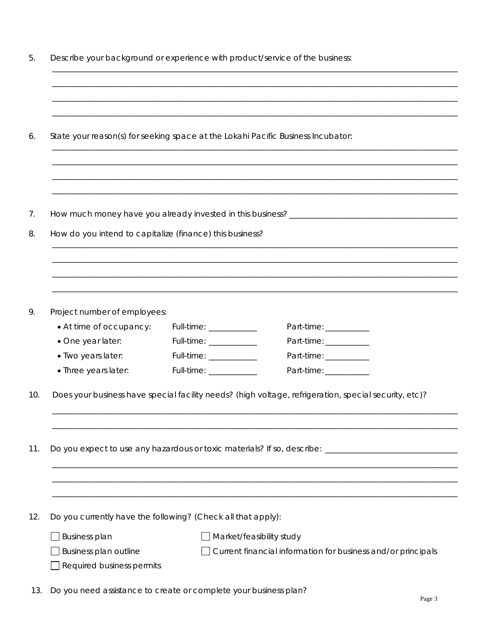|                                                                                  | Describe your background or experience with product/service of the business: |                                                                                                       |  |  |  |
|----------------------------------------------------------------------------------|------------------------------------------------------------------------------|-------------------------------------------------------------------------------------------------------|--|--|--|
|                                                                                  |                                                                              |                                                                                                       |  |  |  |
|                                                                                  |                                                                              |                                                                                                       |  |  |  |
| State your reason(s) for seeking space at the Lokahi Pacific Business Incubator: |                                                                              |                                                                                                       |  |  |  |
|                                                                                  |                                                                              |                                                                                                       |  |  |  |
|                                                                                  |                                                                              |                                                                                                       |  |  |  |
| How do you intend to capitalize (finance) this business?                         |                                                                              |                                                                                                       |  |  |  |
|                                                                                  |                                                                              |                                                                                                       |  |  |  |
|                                                                                  |                                                                              |                                                                                                       |  |  |  |
|                                                                                  |                                                                              |                                                                                                       |  |  |  |
| Project number of employees:                                                     |                                                                              |                                                                                                       |  |  |  |
| • At time of occupancy:                                                          | Full-time: ____________                                                      | Part-time: ____________                                                                               |  |  |  |
| · One year later:                                                                | Full-time: ___________                                                       | Part-time: ____________                                                                               |  |  |  |
| · Two years later:                                                               | Full-time: _____________                                                     | Part-time: ___________                                                                                |  |  |  |
| · Three years later:                                                             |                                                                              | Part-time: ____________                                                                               |  |  |  |
|                                                                                  |                                                                              | Does your business have special facility needs? (high voltage, refrigeration, special security, etc)? |  |  |  |
|                                                                                  |                                                                              |                                                                                                       |  |  |  |
|                                                                                  |                                                                              | Do you expect to use any hazardous or toxic materials? If so, describe: ____________________________  |  |  |  |
|                                                                                  |                                                                              |                                                                                                       |  |  |  |
| Do you currently have the following? (Check all that apply):                     |                                                                              |                                                                                                       |  |  |  |
| <b>Business plan</b>                                                             |                                                                              | Market/feasibility study                                                                              |  |  |  |
| Business plan outline                                                            |                                                                              | Current financial information for business and/or principals                                          |  |  |  |
| Required business permits                                                        |                                                                              |                                                                                                       |  |  |  |
| Do you need assistance to create or complete your business plan?                 |                                                                              |                                                                                                       |  |  |  |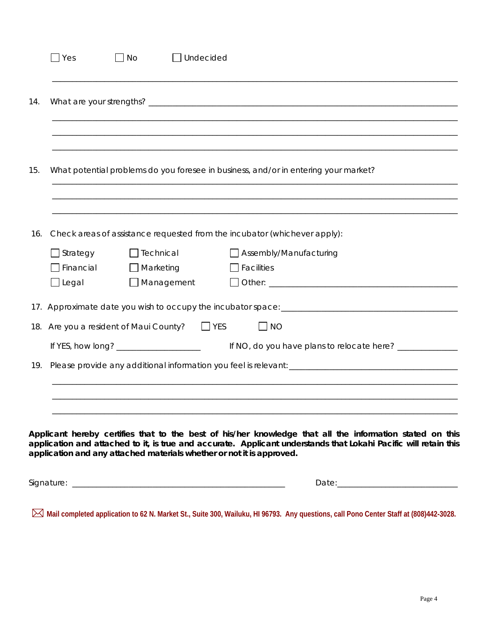|     | $\exists$ Yes                                                             | No               | Undecided         |                                                                                                          |  |
|-----|---------------------------------------------------------------------------|------------------|-------------------|----------------------------------------------------------------------------------------------------------|--|
| 14. |                                                                           |                  |                   |                                                                                                          |  |
|     |                                                                           |                  |                   |                                                                                                          |  |
| 15. |                                                                           |                  |                   | What potential problems do you foresee in business, and/or in entering your market?                      |  |
| 16. | Check areas of assistance requested from the incubator (whichever apply): |                  |                   |                                                                                                          |  |
|     | $\Box$ Strategy                                                           |                  | Technical         | Assembly/Manufacturing                                                                                   |  |
|     | $\Box$ Financial                                                          | $\Box$ Marketing |                   | $\Box$ Facilities                                                                                        |  |
|     | $\Box$ Legal                                                              |                  | $\Box$ Management |                                                                                                          |  |
|     |                                                                           |                  |                   |                                                                                                          |  |
|     | 18. Are you a resident of Maui County?                                    |                  | $\Box$ YES        | $\Box$ NO                                                                                                |  |
|     | If YES, how long? ______________________                                  |                  |                   | If NO, do you have plans to relocate here? _____________                                                 |  |
| 19. |                                                                           |                  |                   |                                                                                                          |  |
|     |                                                                           |                  |                   |                                                                                                          |  |
|     |                                                                           |                  |                   |                                                                                                          |  |
|     |                                                                           |                  |                   |                                                                                                          |  |
|     |                                                                           |                  |                   |                                                                                                          |  |
|     |                                                                           |                  |                   | Applicant hereby certifies that to the best of his/her knowledge that all the information stated on this |  |

Signature: \_\_\_\_\_\_\_\_\_\_\_\_\_\_\_\_\_\_\_\_\_\_\_\_\_\_\_\_\_\_\_\_\_\_\_\_\_\_\_\_\_\_\_\_\_\_\_\_\_\_\_\_\_ Date:\_\_\_\_\_\_\_\_\_\_\_\_\_\_\_\_\_\_\_\_\_\_\_\_\_\_\_\_\_\_

**Mail completed application to 62 N. Market St., Suite 300, Wailuku, HI 96793. Any questions, call Pono Center Staff at (808)442-3028.**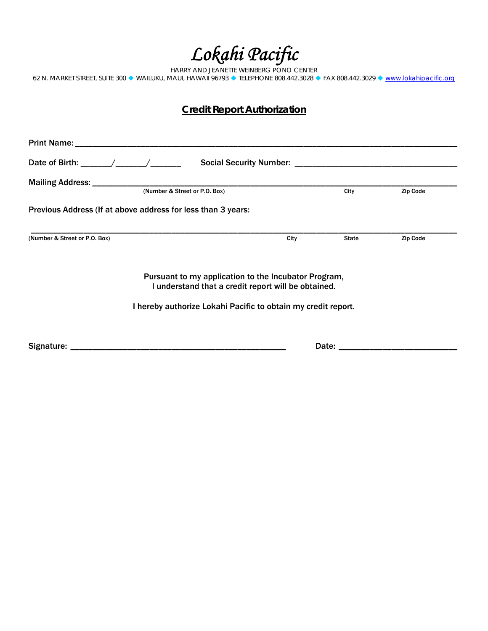*Lokahi Pacific* 

HARRY AND JEANETTE WEINBERG PONO CENTER 62 N. MARKET STREET, SUITE 300 ♦ WAILUKU, MAUI, HAWAII 96793 ♦ TELEPHONE 808.442.3028 ♦ FAX 808.442.3029 ♦ [www.lokahipacific.org](http://www.lokahipacific.org/)

### **Credit Report Authorization**

| (Number & Street or P.O. Box)                                                                               |      | City                           | Zip Code |
|-------------------------------------------------------------------------------------------------------------|------|--------------------------------|----------|
| Previous Address (If at above address for less than 3 years:                                                |      |                                |          |
| (Number & Street or P.O. Box)                                                                               | City | State                          | Zip Code |
| Pursuant to my application to the Incubator Program,<br>I understand that a credit report will be obtained. |      |                                |          |
| I hereby authorize Lokahi Pacific to obtain my credit report.                                               |      |                                |          |
|                                                                                                             |      | Date: $\overline{\phantom{0}}$ |          |